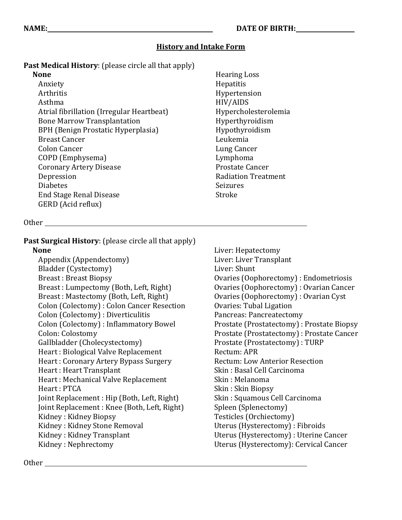### **History and Intake Form**

**Past Medical History**: (please circle all that apply)

#### **None**

Anxiety Arthritis Asthma Atrial fibrillation (Irregular Heartbeat) Bone Marrow Transplantation BPH (Benign Prostatic Hyperplasia) Breast Cancer Colon Cancer COPD (Emphysema) Coronary Artery Disease Depression Diabetes End Stage Renal Disease GERD (Acid reflux)

Hearing Loss Hepatitis Hypertension HIV/AIDS Hypercholesterolemia Hyperthyroidism Hypothyroidism Leukemia Lung Cancer Lymphoma Prostate Cancer Radiation Treatment Seizures Stroke

#### Other

**Past Surgical History**: (please circle all that apply) **None**  Appendix (Appendectomy)

Bladder (Cystectomy) Breast : Breast Biopsy Breast : Lumpectomy (Both, Left, Right) Breast : Mastectomy (Both, Left, Right) Colon (Colectomy) : Colon Cancer Resection Colon (Colectomy) : Diverticulitis

Colon (Colectomy) : Inflammatory Bowel Colon: Colostomy Gallbladder (Cholecystectomy) Heart : Biological Valve Replacement Heart : Coronary Artery Bypass Surgery Heart : Heart Transplant Heart : Mechanical Valve Replacement Heart : PTCA Joint Replacement : Hip (Both, Left, Right) Joint Replacement : Knee (Both, Left, Right) Kidney : Kidney Biopsy Kidney : Kidney Stone Removal Kidney : Kidney Transplant Kidney : Nephrectomy

Liver: Hepatectomy Liver: Liver Transplant Liver: Shunt Ovaries (Oophorectomy) : Endometriosis Ovaries (Oophorectomy) : Ovarian Cancer Ovaries (Oophorectomy) : Ovarian Cyst Ovaries: Tubal Ligation Pancreas: Pancreatectomy Prostate (Prostatectomy) : Prostate Biopsy Prostate (Prostatectomy) : Prostate Cancer Prostate (Prostatectomy) : TURP Rectum: APR Rectum: Low Anterior Resection Skin : Basal Cell Carcinoma Skin : Melanoma Skin : Skin Biopsy Skin : Squamous Cell Carcinoma Spleen (Splenectomy) Testicles (Orchiectomy) Uterus (Hysterectomy) : Fibroids Uterus (Hysterectomy) : Uterine Cancer Uterus (Hysterectomy): Cervical Cancer

Other **Community** Community Community Community Community Community Community Community Community Community Community Community Community Community Community Community Community Community Community Community Community Comm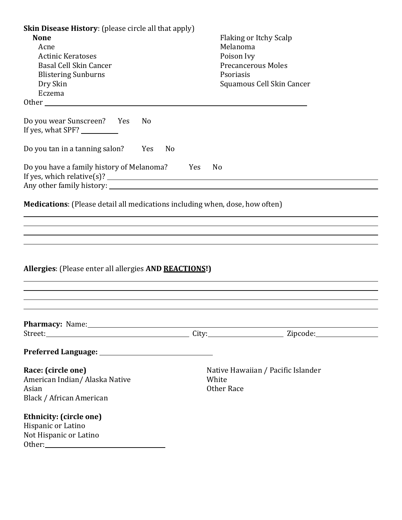| <b>Skin Disease History:</b> (please circle all that apply)<br><b>None</b><br>Acne<br><b>Actinic Keratoses</b><br>Basal Cell Skin Cancer<br><b>Blistering Sunburns</b><br>Dry Skin<br>Eczema |                |    | Melanoma<br>Poison Ivy<br><b>Precancerous Moles</b><br>Psoriasis | <b>Flaking or Itchy Scalp</b><br>Squamous Cell Skin Cancer |  |
|----------------------------------------------------------------------------------------------------------------------------------------------------------------------------------------------|----------------|----|------------------------------------------------------------------|------------------------------------------------------------|--|
| Do you wear Sunscreen? Yes<br>If yes, what SPF? ___________                                                                                                                                  | N <sub>0</sub> |    |                                                                  |                                                            |  |
| Do you tan in a tanning salon?                                                                                                                                                               | Yes            | No |                                                                  |                                                            |  |
| Do you have a family history of Melanoma? Yes                                                                                                                                                |                |    | No                                                               |                                                            |  |
| ,我们也不会有什么?""我们的人,我们也不会有什么?""我们的人,我们也不会有什么?""我们的人,我们也不会有什么?""我们的人,我们也不会有什么?""我们的人<br>Allergies: (Please enter all allergies AND REACTIONS!)                                                   |                |    |                                                                  |                                                            |  |
| Pharmacy: Name: 1999 Manual Pharmacy: Name: 1999 Manual Pharmacy: 1999 Manual Pharmaceuse 2008                                                                                               |                |    |                                                                  |                                                            |  |
|                                                                                                                                                                                              |                |    |                                                                  |                                                            |  |
| Race: (circle one)<br>American Indian/ Alaska Native<br>Asian<br>Black / African American                                                                                                    |                |    | Native Hawaiian / Pacific Islander<br>White<br>Other Race        |                                                            |  |
| <b>Ethnicity: (circle one)</b><br>Hispanic or Latino<br>Not Hispanic or Latino                                                                                                               |                |    |                                                                  |                                                            |  |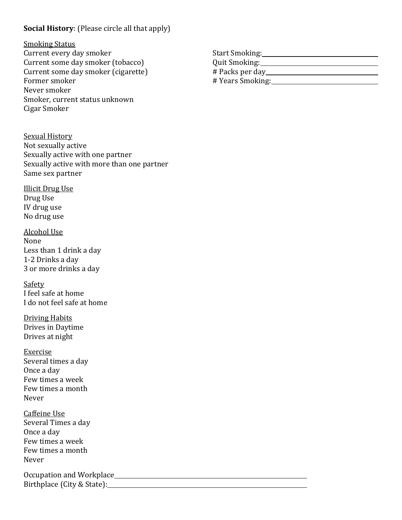## **Social History**: (Please circle all that apply)

#### Smoking Status Current every day smoker Current some day smoker (tobacco) Current some day smoker (cigarette) Former smoker Never smoker Smoker, current status unknown Cigar Smoker

Sexual History Not sexually active Sexually active with one partner Sexually active with more than one partner Same sex partner

Illicit Drug Use Drug Use IV drug use No drug use

#### Alcohol Use None Less than 1 drink a day 1-2 Drinks a day 3 or more drinks a day

Safety I feel safe at home I do not feel safe at home

Driving Habits Drives in Daytime Drives at night

Exercise Several times a day Once a day Few times a week Few times a month Never

Caffeine Use Several Times a day Once a day Few times a week Few times a month Never

Occupation and Workplace Birthplace (City & State): The State of the State of the State of the State of the State of the State of the State of the State of the State of the State of the State of the State of the State of the State of the State of

Start Smoking: Quit Smoking: # Packs per day # Years Smoking: